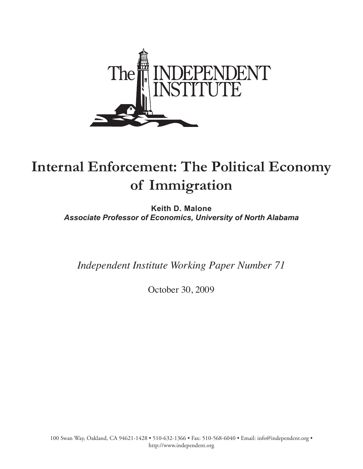

# **Internal Enforcement: The Political Economy of Immigration**

**Keith D. Malone** *Associate Professor of Economics, University of North Alabama*

*Independent Institute Working Paper Number 71*

October 30, 2009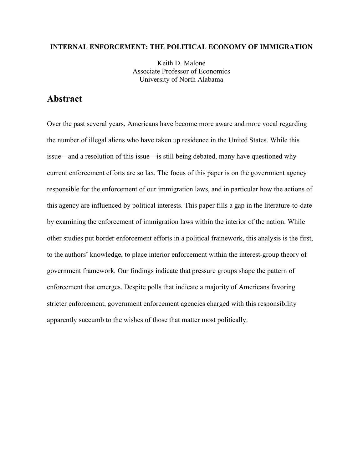## **INTERNAL ENFORCEMENT: THE POLITICAL ECONOMY OF IMMIGRATION**

Keith D. Malone Associate Professor of Economics University of North Alabama

# **Abstract**

Over the past several years, Americans have become more aware and more vocal regarding the number of illegal aliens who have taken up residence in the United States. While this issue—and a resolution of this issue—is still being debated, many have questioned why current enforcement efforts are so lax. The focus of this paper is on the government agency responsible for the enforcement of our immigration laws, and in particular how the actions of this agency are influenced by political interests. This paper fills a gap in the literature-to-date by examining the enforcement of immigration laws within the interior of the nation. While other studies put border enforcement efforts in a political framework, this analysis is the first, to the authors' knowledge, to place interior enforcement within the interest-group theory of government framework. Our findings indicate that pressure groups shape the pattern of enforcement that emerges. Despite polls that indicate a majority of Americans favoring stricter enforcement, government enforcement agencies charged with this responsibility apparently succumb to the wishes of those that matter most politically.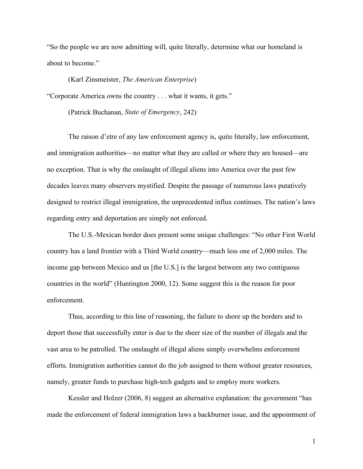"So the people we are now admitting will, quite literally, determine what our homeland is about to become."

(Karl Zinsmeister, *The American Enterprise*)

"Corporate America owns the country . . . what it wants, it gets."

(Patrick Buchanan, *State of Emergency*, 242)

The raison d'etre of any law enforcement agency is, quite literally, law enforcement, and immigration authorities—no matter what they are called or where they are housed—are no exception. That is why the onslaught of illegal aliens into America over the past few decades leaves many observers mystified. Despite the passage of numerous laws putatively designed to restrict illegal immigration, the unprecedented influx continues. The nation's laws regarding entry and deportation are simply not enforced.

The U.S.-Mexican border does present some unique challenges: "No other First World country has a land frontier with a Third World country—much less one of 2,000 miles. The income gap between Mexico and us [the U.S.] is the largest between any two contiguous countries in the world" (Huntington 2000, 12). Some suggest this is the reason for poor enforcement.

Thus, according to this line of reasoning, the failure to shore up the borders and to deport those that successfully enter is due to the sheer size of the number of illegals and the vast area to be patrolled. The onslaught of illegal aliens simply overwhelms enforcement efforts. Immigration authorities cannot do the job assigned to them without greater resources, namely, greater funds to purchase high-tech gadgets and to employ more workers.

Kessler and Holzer (2006, 8) suggest an alternative explanation: the government "has made the enforcement of federal immigration laws a backburner issue, and the appointment of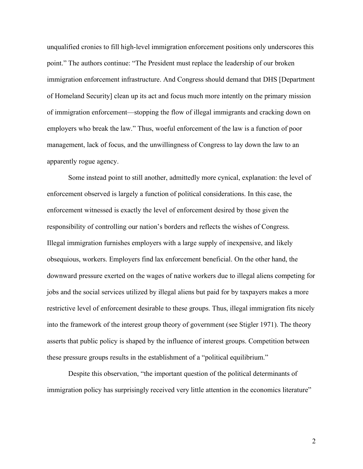unqualified cronies to fill high-level immigration enforcement positions only underscores this point." The authors continue: "The President must replace the leadership of our broken immigration enforcement infrastructure. And Congress should demand that DHS [Department of Homeland Security] clean up its act and focus much more intently on the primary mission of immigration enforcement—stopping the flow of illegal immigrants and cracking down on employers who break the law." Thus, woeful enforcement of the law is a function of poor management, lack of focus, and the unwillingness of Congress to lay down the law to an apparently rogue agency.

Some instead point to still another, admittedly more cynical, explanation: the level of enforcement observed is largely a function of political considerations. In this case, the enforcement witnessed is exactly the level of enforcement desired by those given the responsibility of controlling our nation's borders and reflects the wishes of Congress. Illegal immigration furnishes employers with a large supply of inexpensive, and likely obsequious, workers. Employers find lax enforcement beneficial. On the other hand, the downward pressure exerted on the wages of native workers due to illegal aliens competing for jobs and the social services utilized by illegal aliens but paid for by taxpayers makes a more restrictive level of enforcement desirable to these groups. Thus, illegal immigration fits nicely into the framework of the interest group theory of government (see Stigler 1971). The theory asserts that public policy is shaped by the influence of interest groups. Competition between these pressure groups results in the establishment of a "political equilibrium."

Despite this observation, "the important question of the political determinants of immigration policy has surprisingly received very little attention in the economics literature"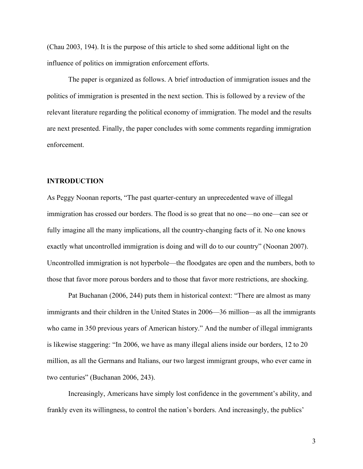(Chau 2003, 194). It is the purpose of this article to shed some additional light on the influence of politics on immigration enforcement efforts.

The paper is organized as follows. A brief introduction of immigration issues and the politics of immigration is presented in the next section. This is followed by a review of the relevant literature regarding the political economy of immigration. The model and the results are next presented. Finally, the paper concludes with some comments regarding immigration enforcement.

#### **INTRODUCTION**

As Peggy Noonan reports, "The past quarter-century an unprecedented wave of illegal immigration has crossed our borders. The flood is so great that no one—no one—can see or fully imagine all the many implications, all the country-changing facts of it. No one knows exactly what uncontrolled immigration is doing and will do to our country" (Noonan 2007). Uncontrolled immigration is not hyperbole—the floodgates are open and the numbers, both to those that favor more porous borders and to those that favor more restrictions, are shocking.

Pat Buchanan (2006, 244) puts them in historical context: "There are almost as many immigrants and their children in the United States in 2006—36 million—as all the immigrants who came in 350 previous years of American history." And the number of illegal immigrants is likewise staggering: "In 2006, we have as many illegal aliens inside our borders, 12 to 20 million, as all the Germans and Italians, our two largest immigrant groups, who ever came in two centuries" (Buchanan 2006, 243).

Increasingly, Americans have simply lost confidence in the government's ability, and frankly even its willingness, to control the nation's borders. And increasingly, the publics'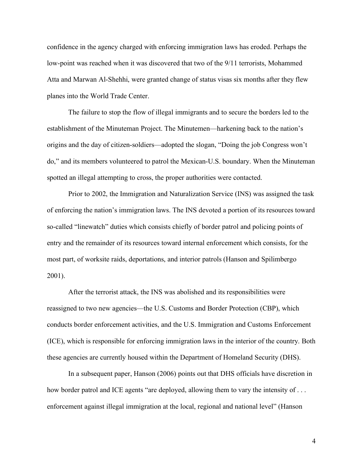confidence in the agency charged with enforcing immigration laws has eroded. Perhaps the low-point was reached when it was discovered that two of the 9/11 terrorists, Mohammed Atta and Marwan Al-Shehhi, were granted change of status visas six months after they flew planes into the World Trade Center.

The failure to stop the flow of illegal immigrants and to secure the borders led to the establishment of the Minuteman Project. The Minutemen—harkening back to the nation's origins and the day of citizen-soldiers—adopted the slogan, "Doing the job Congress won't do," and its members volunteered to patrol the Mexican-U.S. boundary. When the Minuteman spotted an illegal attempting to cross, the proper authorities were contacted.

Prior to 2002, the Immigration and Naturalization Service (INS) was assigned the task of enforcing the nation's immigration laws. The INS devoted a portion of its resources toward so-called "linewatch" duties which consists chiefly of border patrol and policing points of entry and the remainder of its resources toward internal enforcement which consists, for the most part, of worksite raids, deportations, and interior patrols (Hanson and Spilimbergo 2001).

After the terrorist attack, the INS was abolished and its responsibilities were reassigned to two new agencies—the U.S. Customs and Border Protection (CBP), which conducts border enforcement activities, and the U.S. Immigration and Customs Enforcement (ICE), which is responsible for enforcing immigration laws in the interior of the country. Both these agencies are currently housed within the Department of Homeland Security (DHS).

In a subsequent paper, Hanson (2006) points out that DHS officials have discretion in how border patrol and ICE agents "are deployed, allowing them to vary the intensity of ... enforcement against illegal immigration at the local, regional and national level" (Hanson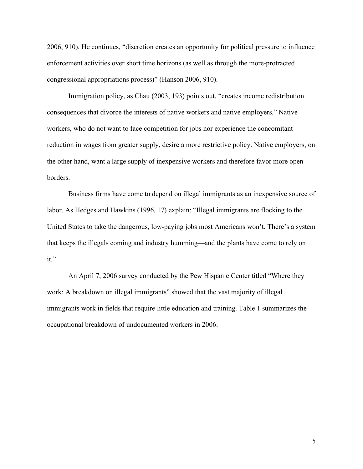2006, 910). He continues, "discretion creates an opportunity for political pressure to influence enforcement activities over short time horizons (as well as through the more-protracted congressional appropriations process)" (Hanson 2006, 910).

Immigration policy, as Chau (2003, 193) points out, "creates income redistribution consequences that divorce the interests of native workers and native employers." Native workers, who do not want to face competition for jobs nor experience the concomitant reduction in wages from greater supply, desire a more restrictive policy. Native employers, on the other hand, want a large supply of inexpensive workers and therefore favor more open borders.

Business firms have come to depend on illegal immigrants as an inexpensive source of labor. As Hedges and Hawkins (1996, 17) explain: "Illegal immigrants are flocking to the United States to take the dangerous, low-paying jobs most Americans won't. There's a system that keeps the illegals coming and industry humming—and the plants have come to rely on it."

An April 7, 2006 survey conducted by the Pew Hispanic Center titled "Where they work: A breakdown on illegal immigrants" showed that the vast majority of illegal immigrants work in fields that require little education and training. Table 1 summarizes the occupational breakdown of undocumented workers in 2006.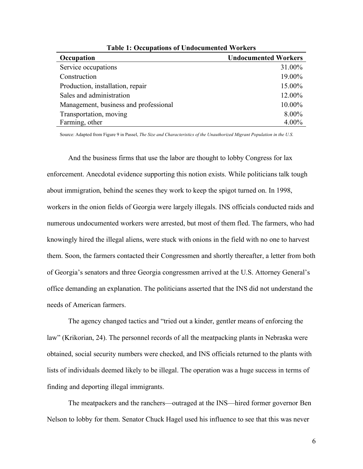| Occupation                            | <b>Undocumented Workers</b> |
|---------------------------------------|-----------------------------|
| Service occupations                   | 31.00%                      |
| Construction                          | 19.00%                      |
| Production, installation, repair      | 15.00%                      |
| Sales and administration              | 12.00%                      |
| Management, business and professional | 10.00%                      |
| Transportation, moving                | 8.00%                       |
| Farming, other                        | 4.00%                       |

**Table 1: Occupations of Undocumented Workers**

Source: Adapted from Figure 9 in Passel, *The Size and Characteristics of the Unauthorized Migrant Population in the U.S*.

And the business firms that use the labor are thought to lobby Congress for lax enforcement. Anecdotal evidence supporting this notion exists. While politicians talk tough about immigration, behind the scenes they work to keep the spigot turned on. In 1998, workers in the onion fields of Georgia were largely illegals. INS officials conducted raids and numerous undocumented workers were arrested, but most of them fled. The farmers, who had knowingly hired the illegal aliens, were stuck with onions in the field with no one to harvest them. Soon, the farmers contacted their Congressmen and shortly thereafter, a letter from both of Georgia's senators and three Georgia congressmen arrived at the U.S. Attorney General's office demanding an explanation. The politicians asserted that the INS did not understand the needs of American farmers.

The agency changed tactics and "tried out a kinder, gentler means of enforcing the law" (Krikorian, 24). The personnel records of all the meatpacking plants in Nebraska were obtained, social security numbers were checked, and INS officials returned to the plants with lists of individuals deemed likely to be illegal. The operation was a huge success in terms of finding and deporting illegal immigrants.

The meatpackers and the ranchers—outraged at the INS—hired former governor Ben Nelson to lobby for them. Senator Chuck Hagel used his influence to see that this was never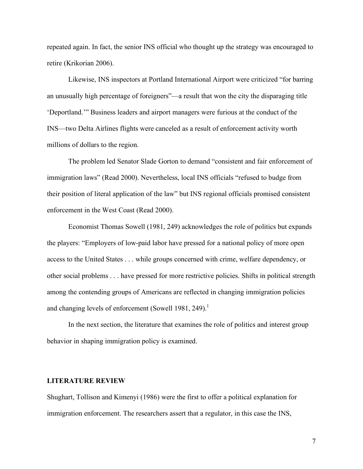repeated again. In fact, the senior INS official who thought up the strategy was encouraged to retire (Krikorian 2006).

Likewise, INS inspectors at Portland International Airport were criticized "for barring an unusually high percentage of foreigners"—a result that won the city the disparaging title 'Deportland.'" Business leaders and airport managers were furious at the conduct of the INS—two Delta Airlines flights were canceled as a result of enforcement activity worth millions of dollars to the region.

The problem led Senator Slade Gorton to demand "consistent and fair enforcement of immigration laws" (Read 2000). Nevertheless, local INS officials "refused to budge from their position of literal application of the law" but INS regional officials promised consistent enforcement in the West Coast (Read 2000).

Economist Thomas Sowell (1981, 249) acknowledges the role of politics but expands the players: "Employers of low-paid labor have pressed for a national policy of more open access to the United States . . . while groups concerned with crime, welfare dependency, or other social problems . . . have pressed for more restrictive policies. Shifts in political strength among the contending groups of Americans are reflected in changing immigration policies and changing levels of enforcement (Sowell 1981, 249).<sup>1</sup>

In the next section, the literature that examines the role of politics and interest group behavior in shaping immigration policy is examined.

## **LITERATURE REVIEW**

Shughart, Tollison and Kimenyi (1986) were the first to offer a political explanation for immigration enforcement. The researchers assert that a regulator, in this case the INS,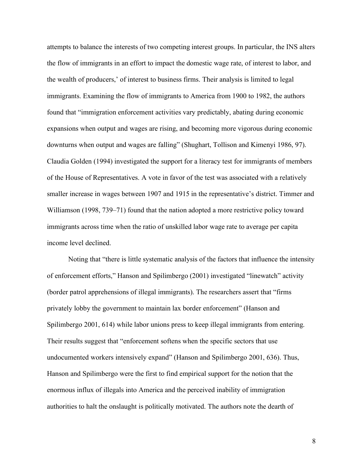attempts to balance the interests of two competing interest groups. In particular, the INS alters the flow of immigrants in an effort to impact the domestic wage rate, of interest to labor, and the wealth of producers,' of interest to business firms. Their analysis is limited to legal immigrants. Examining the flow of immigrants to America from 1900 to 1982, the authors found that "immigration enforcement activities vary predictably, abating during economic expansions when output and wages are rising, and becoming more vigorous during economic downturns when output and wages are falling" (Shughart, Tollison and Kimenyi 1986, 97). Claudia Golden (1994) investigated the support for a literacy test for immigrants of members of the House of Representatives. A vote in favor of the test was associated with a relatively smaller increase in wages between 1907 and 1915 in the representative's district. Timmer and Williamson (1998, 739–71) found that the nation adopted a more restrictive policy toward immigrants across time when the ratio of unskilled labor wage rate to average per capita income level declined.

Noting that "there is little systematic analysis of the factors that influence the intensity of enforcement efforts," Hanson and Spilimbergo (2001) investigated "linewatch" activity (border patrol apprehensions of illegal immigrants). The researchers assert that "firms privately lobby the government to maintain lax border enforcement" (Hanson and Spilimbergo 2001, 614) while labor unions press to keep illegal immigrants from entering. Their results suggest that "enforcement softens when the specific sectors that use undocumented workers intensively expand" (Hanson and Spilimbergo 2001, 636). Thus, Hanson and Spilimbergo were the first to find empirical support for the notion that the enormous influx of illegals into America and the perceived inability of immigration authorities to halt the onslaught is politically motivated. The authors note the dearth of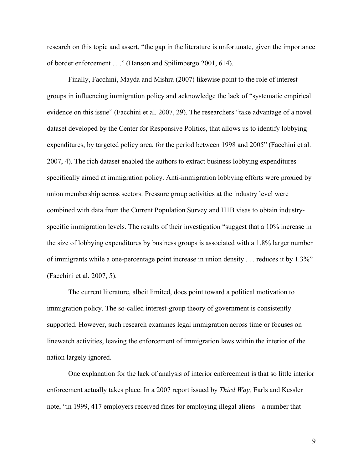research on this topic and assert, "the gap in the literature is unfortunate, given the importance of border enforcement . . ." (Hanson and Spilimbergo 2001, 614).

Finally, Facchini, Mayda and Mishra (2007) likewise point to the role of interest groups in influencing immigration policy and acknowledge the lack of "systematic empirical evidence on this issue" (Facchini et al. 2007, 29). The researchers "take advantage of a novel dataset developed by the Center for Responsive Politics, that allows us to identify lobbying expenditures, by targeted policy area, for the period between 1998 and 2005" (Facchini et al. 2007, 4). The rich dataset enabled the authors to extract business lobbying expenditures specifically aimed at immigration policy. Anti-immigration lobbying efforts were proxied by union membership across sectors. Pressure group activities at the industry level were combined with data from the Current Population Survey and H1B visas to obtain industryspecific immigration levels. The results of their investigation "suggest that a 10% increase in the size of lobbying expenditures by business groups is associated with a 1.8% larger number of immigrants while a one-percentage point increase in union density . . . reduces it by 1.3%" (Facchini et al. 2007, 5).

The current literature, albeit limited, does point toward a political motivation to immigration policy. The so-called interest-group theory of government is consistently supported. However, such research examines legal immigration across time or focuses on linewatch activities, leaving the enforcement of immigration laws within the interior of the nation largely ignored.

One explanation for the lack of analysis of interior enforcement is that so little interior enforcement actually takes place. In a 2007 report issued by *Third Way,* Earls and Kessler note, "in 1999, 417 employers received fines for employing illegal aliens—a number that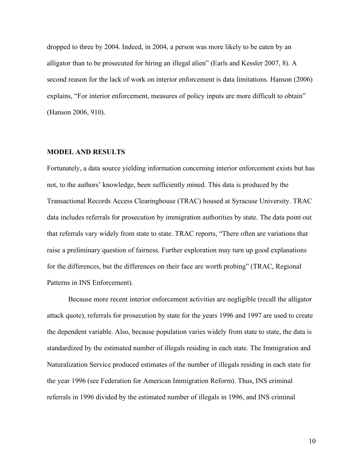dropped to three by 2004. Indeed, in 2004, a person was more likely to be eaten by an alligator than to be prosecuted for hiring an illegal alien" (Earls and Kessler 2007, 8). A second reason for the lack of work on interior enforcement is data limitations. Hanson (2006) explains, "For interior enforcement, measures of policy inputs are more difficult to obtain" (Hanson 2006, 910).

#### **MODEL AND RESULTS**

Fortunately, a data source yielding information concerning interior enforcement exists but has not, to the authors' knowledge, been sufficiently mined. This data is produced by the Transactional Records Access Clearinghouse (TRAC) housed at Syracuse University. TRAC data includes referrals for prosecution by immigration authorities by state. The data point out that referrals vary widely from state to state. TRAC reports, "There often are variations that raise a preliminary question of fairness. Further exploration may turn up good explanations for the differences, but the differences on their face are worth probing" (TRAC, Regional Patterns in INS Enforcement).

Because more recent interior enforcement activities are negligible (recall the alligator attack quote), referrals for prosecution by state for the years 1996 and 1997 are used to create the dependent variable. Also, because population varies widely from state to state, the data is standardized by the estimated number of illegals residing in each state. The Immigration and Naturalization Service produced estimates of the number of illegals residing in each state for the year 1996 (see Federation for American Immigration Reform). Thus, INS criminal referrals in 1996 divided by the estimated number of illegals in 1996, and INS criminal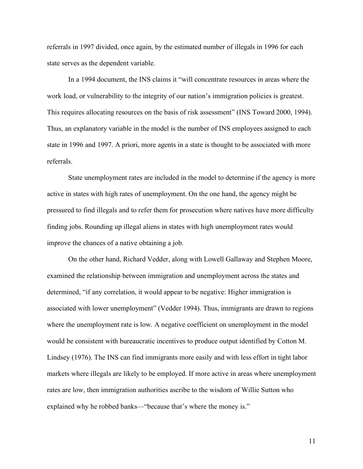referrals in 1997 divided, once again, by the estimated number of illegals in 1996 for each state serves as the dependent variable.

In a 1994 document, the INS claims it "will concentrate resources in areas where the work load, or vulnerability to the integrity of our nation's immigration policies is greatest. This requires allocating resources on the basis of risk assessment" (INS Toward 2000, 1994). Thus, an explanatory variable in the model is the number of INS employees assigned to each state in 1996 and 1997. A priori, more agents in a state is thought to be associated with more referrals.

State unemployment rates are included in the model to determine if the agency is more active in states with high rates of unemployment. On the one hand, the agency might be pressured to find illegals and to refer them for prosecution where natives have more difficulty finding jobs. Rounding up illegal aliens in states with high unemployment rates would improve the chances of a native obtaining a job.

On the other hand, Richard Vedder, along with Lowell Gallaway and Stephen Moore, examined the relationship between immigration and unemployment across the states and determined, "if any correlation, it would appear to be negative: Higher immigration is associated with lower unemployment" (Vedder 1994). Thus, immigrants are drawn to regions where the unemployment rate is low. A negative coefficient on unemployment in the model would be consistent with bureaucratic incentives to produce output identified by Cotton M. Lindsey (1976). The INS can find immigrants more easily and with less effort in tight labor markets where illegals are likely to be employed. If more active in areas where unemployment rates are low, then immigration authorities ascribe to the wisdom of Willie Sutton who explained why he robbed banks—"because that's where the money is."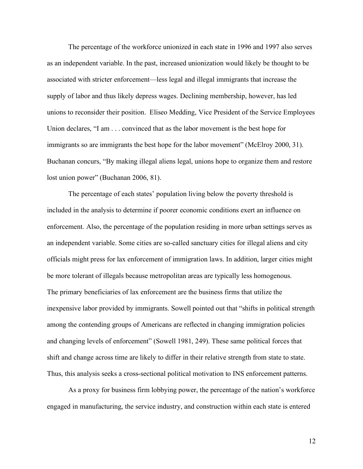The percentage of the workforce unionized in each state in 1996 and 1997 also serves as an independent variable. In the past, increased unionization would likely be thought to be associated with stricter enforcement—less legal and illegal immigrants that increase the supply of labor and thus likely depress wages. Declining membership, however, has led unions to reconsider their position. Eliseo Medding, Vice President of the Service Employees Union declares, "I am . . . convinced that as the labor movement is the best hope for immigrants so are immigrants the best hope for the labor movement" (McElroy 2000, 31). Buchanan concurs, "By making illegal aliens legal, unions hope to organize them and restore lost union power" (Buchanan 2006, 81).

The percentage of each states' population living below the poverty threshold is included in the analysis to determine if poorer economic conditions exert an influence on enforcement. Also, the percentage of the population residing in more urban settings serves as an independent variable. Some cities are so-called sanctuary cities for illegal aliens and city officials might press for lax enforcement of immigration laws. In addition, larger cities might be more tolerant of illegals because metropolitan areas are typically less homogenous. The primary beneficiaries of lax enforcement are the business firms that utilize the inexpensive labor provided by immigrants. Sowell pointed out that "shifts in political strength among the contending groups of Americans are reflected in changing immigration policies and changing levels of enforcement" (Sowell 1981, 249). These same political forces that shift and change across time are likely to differ in their relative strength from state to state. Thus, this analysis seeks a cross-sectional political motivation to INS enforcement patterns.

As a proxy for business firm lobbying power, the percentage of the nation's workforce engaged in manufacturing, the service industry, and construction within each state is entered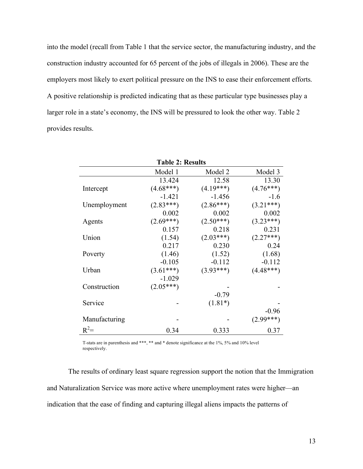into the model (recall from Table 1 that the service sector, the manufacturing industry, and the construction industry accounted for 65 percent of the jobs of illegals in 2006). These are the employers most likely to exert political pressure on the INS to ease their enforcement efforts. A positive relationship is predicted indicating that as these particular type businesses play a larger role in a state's economy, the INS will be pressured to look the other way. Table 2 provides results.

| <b>Table 2: Results</b> |             |             |             |
|-------------------------|-------------|-------------|-------------|
|                         | Model 1     | Model 2     | Model 3     |
|                         | 13.424      | 12.58       | 13.30       |
| Intercept               | $(4.68***)$ | $(4.19***)$ | $(4.76***)$ |
|                         | $-1.421$    | $-1.456$    | $-1.6$      |
| Unemployment            | $(2.83***)$ | $(2.86***)$ | $(3.21***)$ |
|                         | 0.002       | 0.002       | 0.002       |
| Agents                  | $(2.69***)$ | $(2.50***)$ | $(3.23***)$ |
|                         | 0.157       | 0.218       | 0.231       |
| Union                   | (1.54)      | $(2.03***)$ | $(2.27***)$ |
|                         | 0.217       | 0.230       | 0.24        |
| Poverty                 | (1.46)      | (1.52)      | (1.68)      |
|                         | $-0.105$    | $-0.112$    | $-0.112$    |
| Urban                   | $(3.61***)$ | $(3.93***)$ | $(4.48***)$ |
|                         | $-1.029$    |             |             |
| Construction            | $(2.05***)$ |             |             |
|                         |             | $-0.79$     |             |
| Service                 |             | $(1.81*)$   |             |
|                         |             |             | $-0.96$     |
| Manufacturing           |             |             | $(2.99***)$ |
| $R^2=$                  | 0.34        | 0.333       | 0.37        |

T-stats are in parenthesis and \*\*\*, \*\* and \* denote significance at the 1%, 5% and 10% level respectively.

The results of ordinary least square regression support the notion that the Immigration and Naturalization Service was more active where unemployment rates were higher—an indication that the ease of finding and capturing illegal aliens impacts the patterns of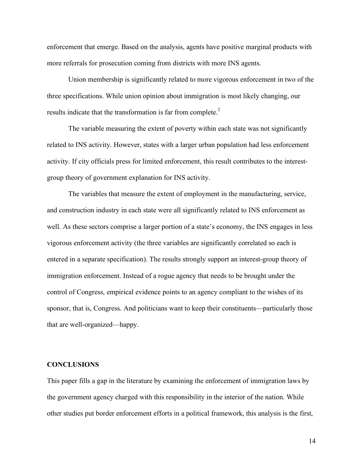enforcement that emerge. Based on the analysis, agents have positive marginal products with more referrals for prosecution coming from districts with more INS agents.

Union membership is significantly related to more vigorous enforcement in two of the three specifications. While union opinion about immigration is most likely changing, our results indicate that the transformation is far from complete.<sup>2</sup>

The variable measuring the extent of poverty within each state was not significantly related to INS activity. However, states with a larger urban population had less enforcement activity. If city officials press for limited enforcement, this result contributes to the interestgroup theory of government explanation for INS activity.

The variables that measure the extent of employment in the manufacturing, service, and construction industry in each state were all significantly related to INS enforcement as well. As these sectors comprise a larger portion of a state's economy, the INS engages in less vigorous enforcement activity (the three variables are significantly correlated so each is entered in a separate specification). The results strongly support an interest-group theory of immigration enforcement. Instead of a rogue agency that needs to be brought under the control of Congress, empirical evidence points to an agency compliant to the wishes of its sponsor, that is, Congress. And politicians want to keep their constituents—particularly those that are well-organized—happy.

## **CONCLUSIONS**

This paper fills a gap in the literature by examining the enforcement of immigration laws by the government agency charged with this responsibility in the interior of the nation. While other studies put border enforcement efforts in a political framework, this analysis is the first,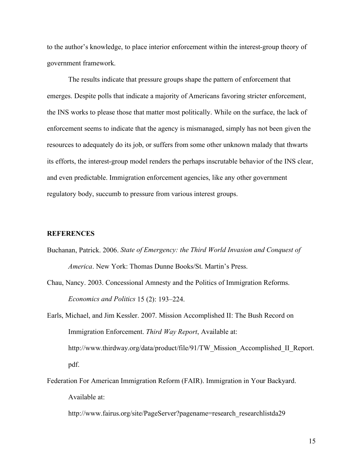to the author's knowledge, to place interior enforcement within the interest-group theory of government framework.

The results indicate that pressure groups shape the pattern of enforcement that emerges. Despite polls that indicate a majority of Americans favoring stricter enforcement, the INS works to please those that matter most politically. While on the surface, the lack of enforcement seems to indicate that the agency is mismanaged, simply has not been given the resources to adequately do its job, or suffers from some other unknown malady that thwarts its efforts, the interest-group model renders the perhaps inscrutable behavior of the INS clear, and even predictable. Immigration enforcement agencies, like any other government regulatory body, succumb to pressure from various interest groups.

## **REFERENCES**

- Buchanan, Patrick. 2006. *State of Emergency: the Third World Invasion and Conquest of America*. New York: Thomas Dunne Books/St. Martin's Press.
- Chau, Nancy. 2003. Concessional Amnesty and the Politics of Immigration Reforms. *Economics and Politics* 15 (2): 193–224.
- Earls, Michael, and Jim Kessler. 2007. Mission Accomplished II: The Bush Record on Immigration Enforcement. *Third Way Report*, Available at: http://www.thirdway.org/data/product/file/91/TW\_Mission\_Accomplished\_II\_Report. pdf.
- Federation For American Immigration Reform (FAIR). Immigration in Your Backyard. Available at:
	- http://www.fairus.org/site/PageServer?pagename=research\_researchlistda29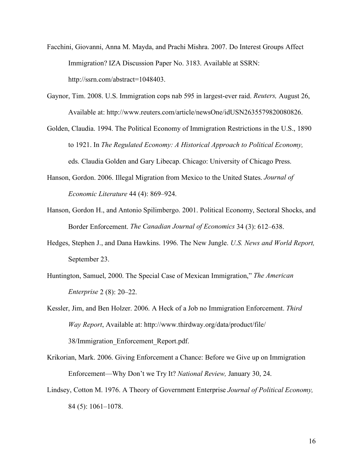- Facchini, Giovanni, Anna M. Mayda, and Prachi Mishra. 2007. Do Interest Groups Affect Immigration? IZA Discussion Paper No. 3183. Available at SSRN: http://ssrn.com/abstract=1048403.
- Gaynor, Tim. 2008. U.S. Immigration cops nab 595 in largest-ever raid. *Reuters,* August 26, Available at: http://www.reuters.com/article/newsOne/idUSN2635579820080826.
- Golden, Claudia. 1994. The Political Economy of Immigration Restrictions in the U.S., 1890 to 1921. In *The Regulated Economy: A Historical Approach to Political Economy,* eds. Claudia Golden and Gary Libecap. Chicago: University of Chicago Press.
- Hanson, Gordon. 2006. Illegal Migration from Mexico to the United States. *Journal of Economic Literature* 44 (4): 869–924.
- Hanson, Gordon H., and Antonio Spilimbergo. 2001. Political Economy, Sectoral Shocks, and Border Enforcement. *The Canadian Journal of Economics* 34 (3): 612–638.
- Hedges, Stephen J., and Dana Hawkins. 1996. The New Jungle. *U.S. News and World Report,* September 23.
- Huntington, Samuel, 2000. The Special Case of Mexican Immigration," *The American Enterprise* 2 (8): 20–22.

- Krikorian, Mark. 2006. Giving Enforcement a Chance: Before we Give up on Immigration Enforcement—Why Don't we Try It? *National Review,* January 30, 24.
- Lindsey, Cotton M. 1976. A Theory of Government Enterprise *Journal of Political Economy,* 84 (5): 1061–1078.

Kessler, Jim, and Ben Holzer. 2006. A Heck of a Job no Immigration Enforcement. *Third Way Report*, Available at: http://www.thirdway.org/data/product/file/ 38/Immigration\_Enforcement\_Report.pdf.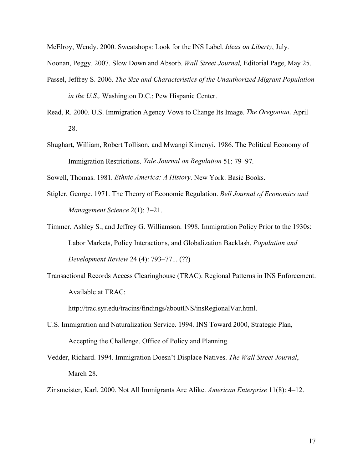McElroy, Wendy. 2000. Sweatshops: Look for the INS Label. *Ideas on Liberty*, July.

Noonan, Peggy. 2007. Slow Down and Absorb. *Wall Street Journal,* Editorial Page, May 25.

- Passel, Jeffrey S. 2006. *The Size and Characteristics of the Unauthorized Migrant Population in the U.S.,* Washington D.C.: Pew Hispanic Center.
- Read, R. 2000. U.S. Immigration Agency Vows to Change Its Image. *The Oregonian,* April 28.
- Shughart, William, Robert Tollison, and Mwangi Kimenyi. 1986. The Political Economy of Immigration Restrictions. *Yale Journal on Regulation* 51: 79–97.
- Sowell, Thomas. 1981. *Ethnic America: A History*. New York: Basic Books.
- Stigler, George. 1971. The Theory of Economic Regulation. *Bell Journal of Economics and Management Science* 2(1): 3–21.
- Timmer, Ashley S., and Jeffrey G. Williamson. 1998. Immigration Policy Prior to the 1930s: Labor Markets, Policy Interactions, and Globalization Backlash. *Population and Development Review* 24 (4): 793–771. (??)
- Transactional Records Access Clearinghouse (TRAC). Regional Patterns in INS Enforcement. Available at TRAC:

http://trac.syr.edu/tracins/findings/aboutINS/insRegionalVar.html.

- U.S. Immigration and Naturalization Service. 1994. INS Toward 2000, Strategic Plan, Accepting the Challenge. Office of Policy and Planning.
- Vedder, Richard. 1994. Immigration Doesn't Displace Natives. *The Wall Street Journal*, March 28.
- Zinsmeister, Karl. 2000. Not All Immigrants Are Alike. *American Enterprise* 11(8): 4–12.